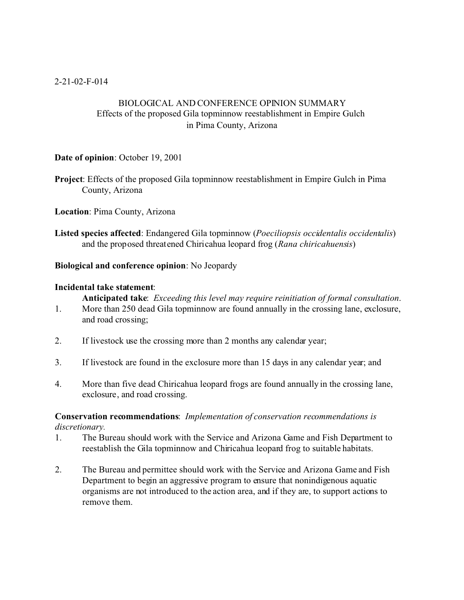# BIOLOGICAL AND CONFERENCE OPINION SUMMARY Effects of the proposed Gila topminnow reestablishment in Empire Gulch in Pima County, Arizona

## **Date of opinion**: October 19, 2001

**Project**: Effects of the proposed Gila topminnow reestablishment in Empire Gulch in Pima County, Arizona

**Location**: Pima County, Arizona

**Listed species affected**: Endangered Gila topminnow (*Poeciliopsis occidentalis occidentalis*) and the proposed threatened Chiricahua leopard frog (*Rana chiricahuensis*)

## **Biological and conference opinion**: No Jeopardy

## **Incidental take statement**:

**Anticipated take**: *Exceeding this level may require reinitiation of formal consultation*.

- 1. More than 250 dead Gila topminnow are found annually in the crossing lane, exclosure, and road crossing;
- 2. If livestock use the crossing more than 2 months any calendar year;
- 3. If livestock are found in the exclosure more than 15 days in any calendar year; and
- 4. More than five dead Chiricahua leopard frogs are found annually in the crossing lane, exclosure, and road crossing.

## **Conservation recommendations**: *Implementation of conservation recommendations is discretionary.*

- 1. The Bureau should work with the Service and Arizona Game and Fish Department to reestablish the Gila topminnow and Chiricahua leopard frog to suitable habitats.
- 2. The Bureau and permittee should work with the Service and Arizona Game and Fish Department to begin an aggressive program to ensure that nonindigenous aquatic organisms are not introduced to the action area, and if they are, to support actions to remove them.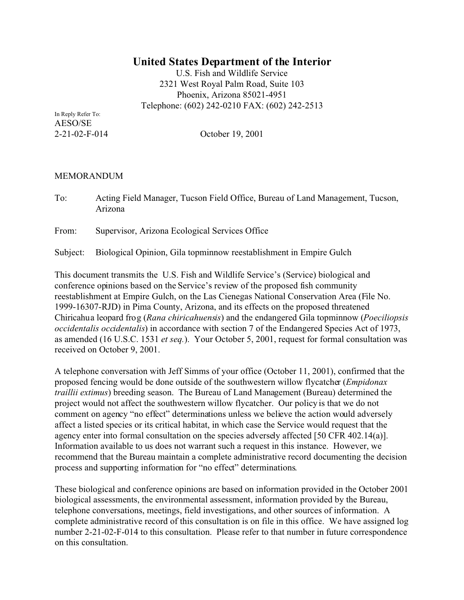# **United States Department of the Interior**

U.S. Fish and Wildlife Service 2321 West Royal Palm Road, Suite 103 Phoenix, Arizona 85021-4951 Telephone: (602) 242-0210 FAX: (602) 242-2513

In Reply Refer To: AESO/SE

2-21-02-F-014 October 19, 2001

## MEMORANDUM

To: Acting Field Manager, Tucson Field Office, Bureau of Land Management, Tucson, Arizona

From: Supervisor, Arizona Ecological Services Office

Subject: Biological Opinion, Gila topminnow reestablishment in Empire Gulch

This document transmits the U.S. Fish and Wildlife Service's (Service) biological and conference opinions based on the Service's review of the proposed fish community reestablishment at Empire Gulch, on the Las Cienegas National Conservation Area (File No. 1999-16307-RJD) in Pima County, Arizona, and its effects on the proposed threatened Chiricahua leopard frog (*Rana chiricahuensis*) and the endangered Gila topminnow (*Poeciliopsis occidentalis occidentalis*) in accordance with section 7 of the Endangered Species Act of 1973, as amended (16 U.S.C. 1531 *et seq.*). Your October 5, 2001, request for formal consultation was received on October 9, 2001.

A telephone conversation with Jeff Simms of your office (October 11, 2001), confirmed that the proposed fencing would be done outside of the southwestern willow flycatcher (*Empidonax traillii extimus*) breeding season. The Bureau of Land Management (Bureau) determined the project would not affect the southwestern willow flycatcher. Our policy is that we do not comment on agency "no effect" determinations unless we believe the action would adversely affect a listed species or its critical habitat, in which case the Service would request that the agency enter into formal consultation on the species adversely affected [50 CFR 402.14(a)]. Information available to us does not warrant such a request in this instance. However, we recommend that the Bureau maintain a complete administrative record documenting the decision process and supporting information for "no effect" determinations.

These biological and conference opinions are based on information provided in the October 2001 biological assessments, the environmental assessment, information provided by the Bureau, telephone conversations, meetings, field investigations, and other sources of information. A complete administrative record of this consultation is on file in this office. We have assigned log number 2-21-02-F-014 to this consultation. Please refer to that number in future correspondence on this consultation.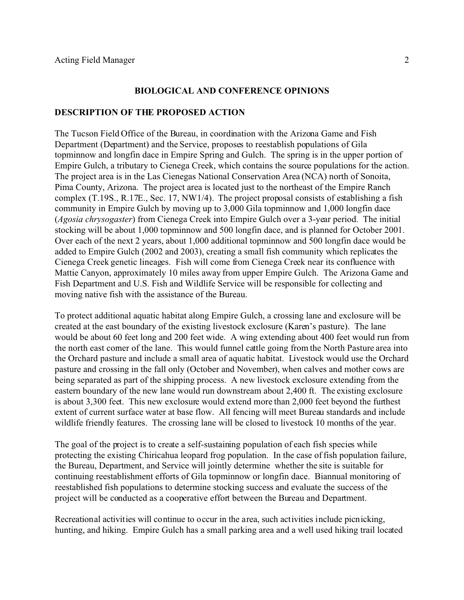#### **BIOLOGICAL AND CONFERENCE OPINIONS**

#### **DESCRIPTION OF THE PROPOSED ACTION**

The Tucson Field Office of the Bureau, in coordination with the Arizona Game and Fish Department (Department) and the Service, proposes to reestablish populations of Gila topminnow and longfin dace in Empire Spring and Gulch. The spring is in the upper portion of Empire Gulch, a tributary to Cienega Creek, which contains the source populations for the action. The project area is in the Las Cienegas National Conservation Area (NCA) north of Sonoita, Pima County, Arizona. The project area is located just to the northeast of the Empire Ranch complex (T.19S., R.17E., Sec. 17, NW1/4). The project proposal consists of establishing a fish community in Empire Gulch by moving up to 3,000 Gila topminnow and 1,000 longfin dace (*Agosia chrysogaster*) from Cienega Creek into Empire Gulch over a 3-year period. The initial stocking will be about 1,000 topminnow and 500 longfin dace, and is planned for October 2001. Over each of the next 2 years, about 1,000 additional topminnow and 500 longfin dace would be added to Empire Gulch (2002 and 2003), creating a small fish community which replicates the Cienega Creek genetic lineages. Fish will come from Cienega Creek near its confluence with Mattie Canyon, approximately 10 miles away from upper Empire Gulch. The Arizona Game and Fish Department and U.S. Fish and Wildlife Service will be responsible for collecting and moving native fish with the assistance of the Bureau.

To protect additional aquatic habitat along Empire Gulch, a crossing lane and exclosure will be created at the east boundary of the existing livestock exclosure (Karen's pasture). The lane would be about 60 feet long and 200 feet wide. A wing extending about 400 feet would run from the north east corner of the lane. This would funnel cattle going from the North Pasture area into the Orchard pasture and include a small area of aquatic habitat. Livestock would use the Orchard pasture and crossing in the fall only (October and November), when calves and mother cows are being separated as part of the shipping process. A new livestock exclosure extending from the eastern boundary of the new lane would run downstream about 2,400 ft. The existing exclosure is about 3,300 feet. This new exclosure would extend more than 2,000 feet beyond the furthest extent of current surface water at base flow. All fencing will meet Bureau standards and include wildlife friendly features. The crossing lane will be closed to livestock 10 months of the year.

The goal of the project is to create a self-sustaining population of each fish species while protecting the existing Chiricahua leopard frog population. In the case of fish population failure, the Bureau, Department, and Service will jointly determine whether the site is suitable for continuing reestablishment efforts of Gila topminnow or longfin dace. Biannual monitoring of reestablished fish populations to determine stocking success and evaluate the success of the project will be conducted as a cooperative effort between the Bureau and Department.

Recreational activities will continue to occur in the area, such activities include picnicking, hunting, and hiking. Empire Gulch has a small parking area and a well used hiking trail located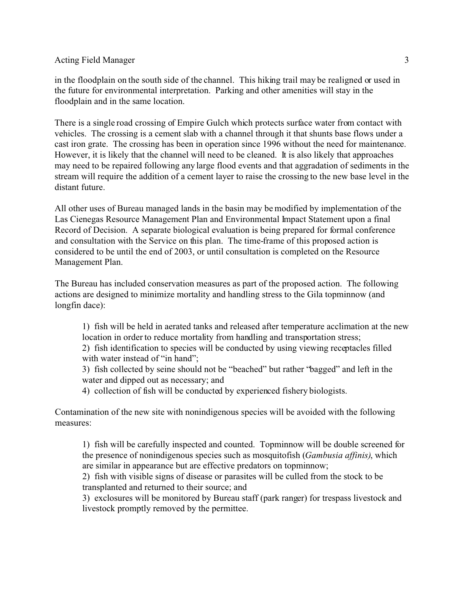in the floodplain on the south side of the channel. This hiking trail may be realigned or used in the future for environmental interpretation. Parking and other amenities will stay in the floodplain and in the same location.

There is a single road crossing of Empire Gulch which protects surface water from contact with vehicles. The crossing is a cement slab with a channel through it that shunts base flows under a cast iron grate. The crossing has been in operation since 1996 without the need for maintenance. However, it is likely that the channel will need to be cleaned. It is also likely that approaches may need to be repaired following any large flood events and that aggradation of sediments in the stream will require the addition of a cement layer to raise the crossing to the new base level in the distant future.

All other uses of Bureau managed lands in the basin may be modified by implementation of the Las Cienegas Resource Management Plan and Environmental Impact Statement upon a final Record of Decision. A separate biological evaluation is being prepared for formal conference and consultation with the Service on this plan. The time-frame of this proposed action is considered to be until the end of 2003, or until consultation is completed on the Resource Management Plan.

The Bureau has included conservation measures as part of the proposed action. The following actions are designed to minimize mortality and handling stress to the Gila topminnow (and longfin dace):

1) fish will be held in aerated tanks and released after temperature acclimation at the new location in order to reduce mortality from handling and transportation stress;

2) fish identification to species will be conducted by using viewing receptacles filled with water instead of "in hand";

3) fish collected by seine should not be "beached" but rather "bagged" and left in the water and dipped out as necessary; and

4) collection of fish will be conducted by experienced fishery biologists.

Contamination of the new site with nonindigenous species will be avoided with the following measures:

1) fish will be carefully inspected and counted. Topminnow will be double screened for the presence of nonindigenous species such as mosquitofish (*Gambusia affinis)*, which are similar in appearance but are effective predators on topminnow;

2) fish with visible signs of disease or parasites will be culled from the stock to be transplanted and returned to their source; and

3) exclosures will be monitored by Bureau staff (park ranger) for trespass livestock and livestock promptly removed by the permittee.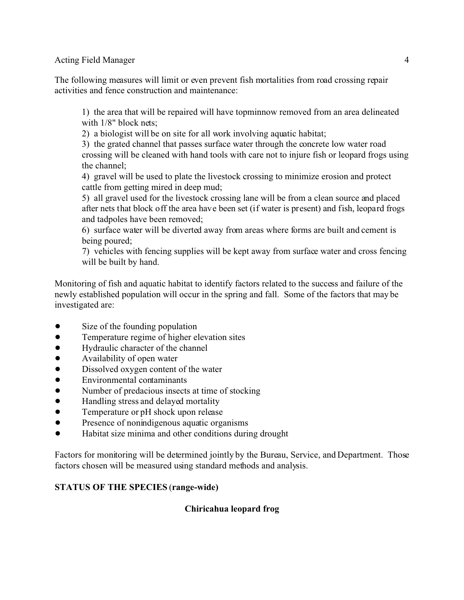The following measures will limit or even prevent fish mortalities from road crossing repair activities and fence construction and maintenance:

1) the area that will be repaired will have topminnow removed from an area delineated with  $1/8$ " block nets;

2) a biologist will be on site for all work involving aquatic habitat;

3) the grated channel that passes surface water through the concrete low water road crossing will be cleaned with hand tools with care not to injure fish or leopard frogs using the channel;

4) gravel will be used to plate the livestock crossing to minimize erosion and protect cattle from getting mired in deep mud;

5) all gravel used for the livestock crossing lane will be from a clean source and placed after nets that block off the area have been set (if water is present) and fish, leopard frogs and tadpoles have been removed;

6) surface water will be diverted away from areas where forms are built and cement is being poured;

7) vehicles with fencing supplies will be kept away from surface water and cross fencing will be built by hand.

Monitoring of fish and aquatic habitat to identify factors related to the success and failure of the newly established population will occur in the spring and fall. Some of the factors that may be investigated are:

- Size of the founding population
- Temperature regime of higher elevation sites
- Hydraulic character of the channel
- Availability of open water
- Dissolved oxygen content of the water
- Environmental contaminants
- Number of predacious insects at time of stocking
- Handling stress and delayed mortality
- Temperature or pH shock upon release
- Presence of nonindigenous aquatic organisms
- ! Habitat size minima and other conditions during drought

Factors for monitoring will be determined jointly by the Bureau, Service, and Department. Those factors chosen will be measured using standard methods and analysis.

# **STATUS OF THE SPECIES** (**range-wide)**

# **Chiricahua leopard frog**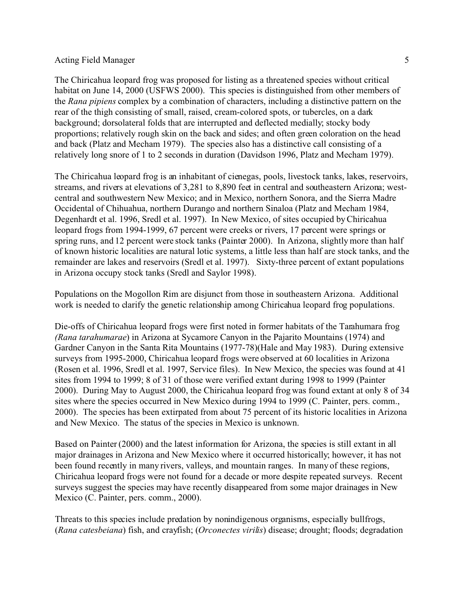The Chiricahua leopard frog was proposed for listing as a threatened species without critical habitat on June 14, 2000 (USFWS 2000). This species is distinguished from other members of the *Rana pipiens* complex by a combination of characters, including a distinctive pattern on the rear of the thigh consisting of small, raised, cream-colored spots, or tubercles, on a dark background; dorsolateral folds that are interrupted and deflected medially; stocky body proportions; relatively rough skin on the back and sides; and often green coloration on the head and back (Platz and Mecham 1979). The species also has a distinctive call consisting of a relatively long snore of 1 to 2 seconds in duration (Davidson 1996, Platz and Mecham 1979).

The Chiricahua leopard frog is an inhabitant of cienegas, pools, livestock tanks, lakes, reservoirs, streams, and rivers at elevations of 3,281 to 8,890 feet in central and southeastern Arizona; westcentral and southwestern New Mexico; and in Mexico, northern Sonora, and the Sierra Madre Occidental of Chihuahua, northern Durango and northern Sinaloa (Platz and Mecham 1984, Degenhardt et al. 1996, Sredl et al. 1997). In New Mexico, of sites occupied by Chiricahua leopard frogs from 1994-1999, 67 percent were creeks or rivers, 17 percent were springs or spring runs, and 12 percent were stock tanks (Painter 2000). In Arizona, slightly more than half of known historic localities are natural lotic systems, a little less than half are stock tanks, and the remainder are lakes and reservoirs (Sredl et al. 1997). Sixty-three percent of extant populations in Arizona occupy stock tanks (Sredl and Saylor 1998).

Populations on the Mogollon Rim are disjunct from those in southeastern Arizona. Additional work is needed to clarify the genetic relationship among Chiricahua leopard frog populations.

Die-offs of Chiricahua leopard frogs were first noted in former habitats of the Tarahumara frog *(Rana tarahumarae*) in Arizona at Sycamore Canyon in the Pajarito Mountains (1974) and Gardner Canyon in the Santa Rita Mountains (1977-78)(Hale and May 1983). During extensive surveys from 1995-2000, Chiricahua leopard frogs were observed at 60 localities in Arizona (Rosen et al. 1996, Sredl et al. 1997, Service files). In New Mexico, the species was found at 41 sites from 1994 to 1999; 8 of 31 of those were verified extant during 1998 to 1999 (Painter 2000). During May to August 2000, the Chiricahua leopard frog was found extant at only 8 of 34 sites where the species occurred in New Mexico during 1994 to 1999 (C. Painter, pers. comm., 2000). The species has been extirpated from about 75 percent of its historic localities in Arizona and New Mexico. The status of the species in Mexico is unknown.

Based on Painter (2000) and the latest information for Arizona, the species is still extant in all major drainages in Arizona and New Mexico where it occurred historically; however, it has not been found recently in many rivers, valleys, and mountain ranges. In many of these regions, Chiricahua leopard frogs were not found for a decade or more despite repeated surveys. Recent surveys suggest the species may have recently disappeared from some major drainages in New Mexico (C. Painter, pers. comm., 2000).

Threats to this species include predation by nonindigenous organisms, especially bullfrogs, (*Rana catesbeiana*) fish, and crayfish; (*Orconectes virilis*) disease; drought; floods; degradation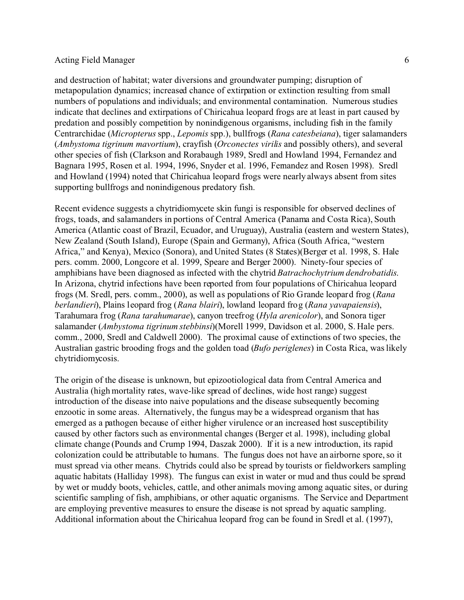and destruction of habitat; water diversions and groundwater pumping; disruption of metapopulation dynamics; increased chance of extirpation or extinction resulting from small numbers of populations and individuals; and environmental contamination. Numerous studies indicate that declines and extirpations of Chiricahua leopard frogs are at least in part caused by predation and possibly competition by nonindigenous organisms, including fish in the family Centrarchidae (*Micropterus* spp., *Lepomis* spp.), bullfrogs (*Rana catesbeiana*), tiger salamanders (*Ambystoma tigrinum mavortium*), crayfish (*Orconectes virilis* and possibly others), and several other species of fish (Clarkson and Rorabaugh 1989, Sredl and Howland 1994, Fernandez and Bagnara 1995, Rosen et al. 1994, 1996, Snyder et al. 1996, Fernandez and Rosen 1998). Sredl and Howland (1994) noted that Chiricahua leopard frogs were nearly always absent from sites supporting bullfrogs and nonindigenous predatory fish.

Recent evidence suggests a chytridiomycete skin fungi is responsible for observed declines of frogs, toads, and salamanders in portions of Central America (Panama and Costa Rica), South America (Atlantic coast of Brazil, Ecuador, and Uruguay), Australia (eastern and western States), New Zealand (South Island), Europe (Spain and Germany), Africa (South Africa, "western Africa," and Kenya), Mexico (Sonora), and United States (8 States)(Berger et al. 1998, S. Hale pers. comm. 2000, Longcore et al. 1999, Speare and Berger 2000). Ninety-four species of amphibians have been diagnosed as infected with the chytrid *Batrachochytrium dendrobatidis*. In Arizona, chytrid infections have been reported from four populations of Chiricahua leopard frogs (M. Sredl, pers. comm., 2000), as well as populations of Rio Grande leopard frog (*Rana berlandieri*), Plains leopard frog (*Rana blairi*), lowland leopard frog (*Rana yavapaiensis*), Tarahumara frog (*Rana tarahumarae*), canyon treefrog (*Hyla arenicolor*), and Sonora tiger salamander (*Ambystoma tigrinum stebbinsi*)(Morell 1999, Davidson et al. 2000, S. Hale pers. comm., 2000, Sredl and Caldwell 2000). The proximal cause of extinctions of two species, the Australian gastric brooding frogs and the golden toad (*Bufo periglenes*) in Costa Rica, was likely chytridiomycosis.

The origin of the disease is unknown, but epizootiological data from Central America and Australia (high mortality rates, wave-like spread of declines, wide host range) suggest introduction of the disease into naive populations and the disease subsequently becoming enzootic in some areas. Alternatively, the fungus may be a widespread organism that has emerged as a pathogen because of either higher virulence or an increased host susceptibility caused by other factors such as environmental changes (Berger et al. 1998), including global climate change (Pounds and Crump 1994, Daszak 2000). If it is a new introduction, its rapid colonization could be attributable to humans. The fungus does not have an airborne spore, so it must spread via other means. Chytrids could also be spread by tourists or fieldworkers sampling aquatic habitats (Halliday 1998). The fungus can exist in water or mud and thus could be spread by wet or muddy boots, vehicles, cattle, and other animals moving among aquatic sites, or during scientific sampling of fish, amphibians, or other aquatic organisms. The Service and Department are employing preventive measures to ensure the disease is not spread by aquatic sampling. Additional information about the Chiricahua leopard frog can be found in Sredl et al. (1997),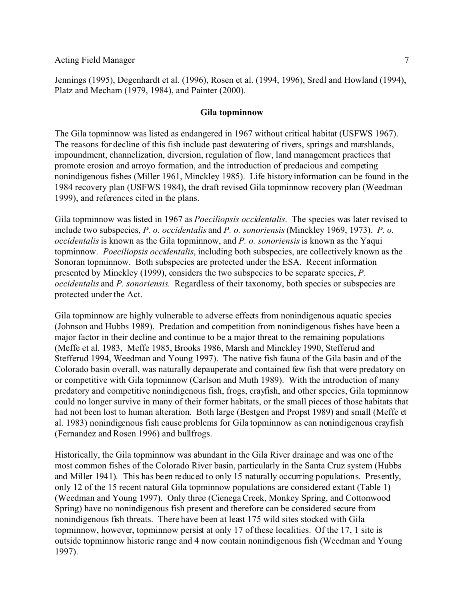Jennings (1995), Degenhardt et al. (1996), Rosen et al. (1994, 1996), Sredl and Howland (1994), Platz and Mecham (1979, 1984), and Painter (2000).

### **Gila topminnow**

The Gila topminnow was listed as endangered in 1967 without critical habitat (USFWS 1967). The reasons for decline of this fish include past dewatering of rivers, springs and marshlands, impoundment, channelization, diversion, regulation of flow, land management practices that promote erosion and arroyo formation, and the introduction of predacious and competing nonindigenous fishes (Miller 1961, Minckley 1985). Life history information can be found in the 1984 recovery plan (USFWS 1984), the draft revised Gila topminnow recovery plan (Weedman 1999), and references cited in the plans.

Gila topminnow was listed in 1967 as *Poeciliopsis occidentalis*. The species was later revised to include two subspecies, *P. o. occidentalis* and *P. o. sonoriensis* (Minckley 1969, 1973). *P. o. occidentalis* is known as the Gila topminnow, and *P. o. sonoriensis* is known as the Yaqui topminnow. *Poeciliopsis occidentalis*, including both subspecies, are collectively known as the Sonoran topminnow. Both subspecies are protected under the ESA. Recent information presented by Minckley (1999), considers the two subspecies to be separate species, *P. occidentalis* and *P. sonoriensis*. Regardless of their taxonomy, both species or subspecies are protected under the Act.

Gila topminnow are highly vulnerable to adverse effects from nonindigenous aquatic species (Johnson and Hubbs 1989). Predation and competition from nonindigenous fishes have been a major factor in their decline and continue to be a major threat to the remaining populations (Meffe et al. 1983, Meffe 1985, Brooks 1986, Marsh and Minckley 1990, Stefferud and Stefferud 1994, Weedman and Young 1997). The native fish fauna of the Gila basin and of the Colorado basin overall, was naturally depauperate and contained few fish that were predatory on or competitive with Gila topminnow (Carlson and Muth 1989). With the introduction of many predatory and competitive nonindigenous fish, frogs, crayfish, and other species, Gila topminnow could no longer survive in many of their former habitats, or the small pieces of those habitats that had not been lost to human alteration. Both large (Bestgen and Propst 1989) and small (Meffe et al. 1983) nonindigenous fish cause problems for Gila topminnow as can nonindigenous crayfish (Fernandez and Rosen 1996) and bullfrogs.

Historically, the Gila topminnow was abundant in the Gila River drainage and was one of the most common fishes of the Colorado River basin, particularly in the Santa Cruz system (Hubbs and Miller 1941). This has been reduced to only 15 naturally occurring populations. Presently, only 12 of the 15 recent natural Gila topminnow populations are considered extant (Table 1) (Weedman and Young 1997). Only three (Cienega Creek, Monkey Spring, and Cottonwood Spring) have no nonindigenous fish present and therefore can be considered secure from nonindigenous fish threats. There have been at least 175 wild sites stocked with Gila topminnow, however, topminnow persist at only 17 of these localities. Of the 17, 1 site is outside topminnow historic range and 4 now contain nonindigenous fish (Weedman and Young 1997).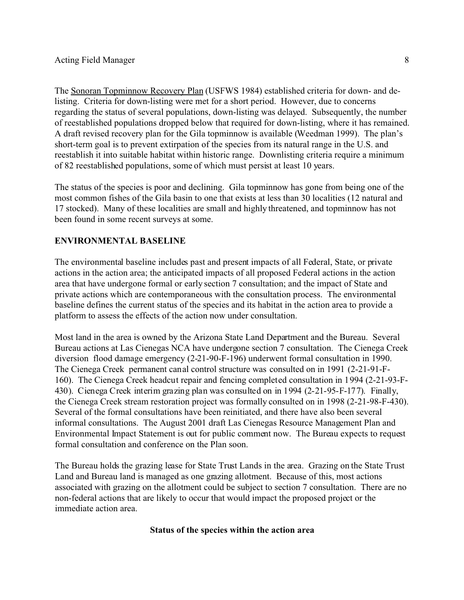The Sonoran Topminnow Recovery Plan (USFWS 1984) established criteria for down- and delisting. Criteria for down-listing were met for a short period. However, due to concerns regarding the status of several populations, down-listing was delayed. Subsequently, the number of reestablished populations dropped below that required for down-listing, where it has remained. A draft revised recovery plan for the Gila topminnow is available (Weedman 1999). The plan's short-term goal is to prevent extirpation of the species from its natural range in the U.S. and reestablish it into suitable habitat within historic range. Downlisting criteria require a minimum of 82 reestablished populations, some of which must persist at least 10 years.

The status of the species is poor and declining. Gila topminnow has gone from being one of the most common fishes of the Gila basin to one that exists at less than 30 localities (12 natural and 17 stocked). Many of these localities are small and highly threatened, and topminnow has not been found in some recent surveys at some.

## **ENVIRONMENTAL BASELINE**

The environmental baseline includes past and present impacts of all Federal, State, or private actions in the action area; the anticipated impacts of all proposed Federal actions in the action area that have undergone formal or early section 7 consultation; and the impact of State and private actions which are contemporaneous with the consultation process. The environmental baseline defines the current status of the species and its habitat in the action area to provide a platform to assess the effects of the action now under consultation.

Most land in the area is owned by the Arizona State Land Department and the Bureau. Several Bureau actions at Las Cienegas NCA have undergone section 7 consultation. The Cienega Creek diversion flood damage emergency (2-21-90-F-196) underwent formal consultation in 1990. The Cienega Creek permanent canal control structure was consulted on in 1991 (2-21-91-F-160). The Cienega Creek headcut repair and fencing completed consultation in 1994 (2-21-93-F-430). Cienega Creek interim grazing plan was consulted on in 1994 (2-21-95-F-177). Finally, the Cienega Creek stream restoration project was formally consulted on in 1998 (2-21-98-F-430). Several of the formal consultations have been reinitiated, and there have also been several informal consultations. The August 2001 draft Las Cienegas Resource Management Plan and Environmental Impact Statement is out for public comment now. The Bureau expects to request formal consultation and conference on the Plan soon.

The Bureau holds the grazing lease for State Trust Lands in the area. Grazing on the State Trust Land and Bureau land is managed as one grazing allotment. Because of this, most actions associated with grazing on the allotment could be subject to section 7 consultation. There are no non-federal actions that are likely to occur that would impact the proposed project or the immediate action area.

#### **Status of the species within the action area**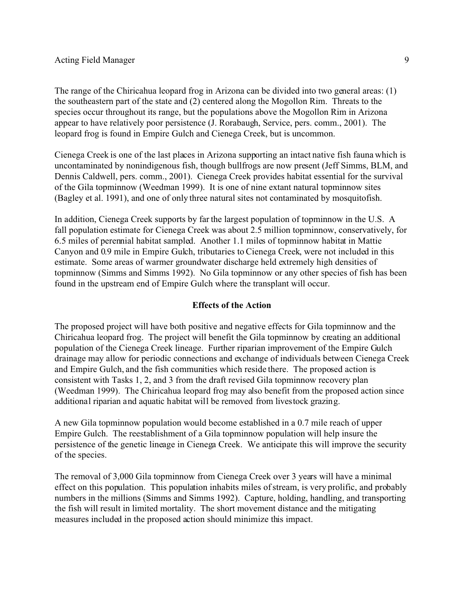The range of the Chiricahua leopard frog in Arizona can be divided into two general areas: (1) the southeastern part of the state and (2) centered along the Mogollon Rim. Threats to the species occur throughout its range, but the populations above the Mogollon Rim in Arizona appear to have relatively poor persistence (J. Rorabaugh, Service, pers. comm., 2001). The leopard frog is found in Empire Gulch and Cienega Creek, but is uncommon.

Cienega Creek is one of the last places in Arizona supporting an intact native fish fauna which is uncontaminated by nonindigenous fish, though bullfrogs are now present (Jeff Simms, BLM, and Dennis Caldwell, pers. comm., 2001). Cienega Creek provides habitat essential for the survival of the Gila topminnow (Weedman 1999). It is one of nine extant natural topminnow sites (Bagley et al. 1991), and one of only three natural sites not contaminated by mosquitofish.

In addition, Cienega Creek supports by far the largest population of topminnow in the U.S. A fall population estimate for Cienega Creek was about 2.5 million topminnow, conservatively, for 6.5 miles of perennial habitat sampled. Another 1.1 miles of topminnow habitat in Mattie Canyon and 0.9 mile in Empire Gulch, tributaries to Cienega Creek, were not included in this estimate. Some areas of warmer groundwater discharge held extremely high densities of topminnow (Simms and Simms 1992). No Gila topminnow or any other species of fish has been found in the upstream end of Empire Gulch where the transplant will occur.

## **Effects of the Action**

The proposed project will have both positive and negative effects for Gila topminnow and the Chiricahua leopard frog. The project will benefit the Gila topminnow by creating an additional population of the Cienega Creek lineage. Further riparian improvement of the Empire Gulch drainage may allow for periodic connections and exchange of individuals between Cienega Creek and Empire Gulch, and the fish communities which reside there. The proposed action is consistent with Tasks 1, 2, and 3 from the draft revised Gila topminnow recovery plan (Weedman 1999). The Chiricahua leopard frog may also benefit from the proposed action since additional riparian and aquatic habitat will be removed from livestock grazing.

A new Gila topminnow population would become established in a 0.7 mile reach of upper Empire Gulch. The reestablishment of a Gila topminnow population will help insure the persistence of the genetic lineage in Cienega Creek. We anticipate this will improve the security of the species.

The removal of 3,000 Gila topminnow from Cienega Creek over 3 years will have a minimal effect on this population. This population inhabits miles of stream, is very prolific, and probably numbers in the millions (Simms and Simms 1992). Capture, holding, handling, and transporting the fish will result in limited mortality. The short movement distance and the mitigating measures included in the proposed action should minimize this impact.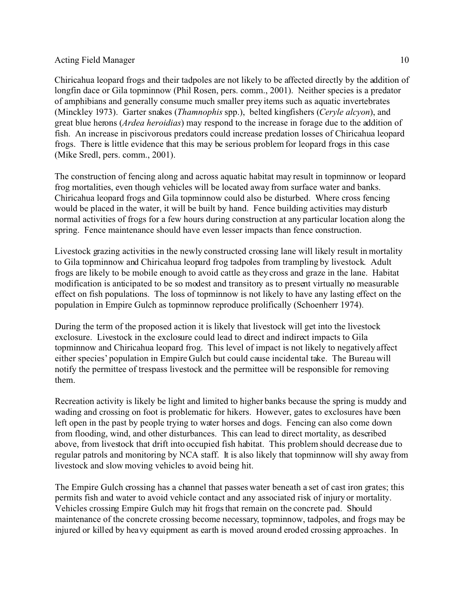Chiricahua leopard frogs and their tadpoles are not likely to be affected directly by the addition of longfin dace or Gila topminnow (Phil Rosen, pers. comm., 2001). Neither species is a predator of amphibians and generally consume much smaller prey items such as aquatic invertebrates (Minckley 1973). Garter snakes (*Thamnophis* spp.), belted kingfishers (*Ceryle alcyon*), and great blue herons (*Ardea heroidias*) may respond to the increase in forage due to the addition of fish. An increase in piscivorous predators could increase predation losses of Chiricahua leopard frogs. There is little evidence that this may be serious problem for leopard frogs in this case (Mike Sredl, pers. comm., 2001).

The construction of fencing along and across aquatic habitat may result in topminnow or leopard frog mortalities, even though vehicles will be located away from surface water and banks. Chiricahua leopard frogs and Gila topminnow could also be disturbed. Where cross fencing would be placed in the water, it will be built by hand. Fence building activities may disturb normal activities of frogs for a few hours during construction at any particular location along the spring. Fence maintenance should have even lesser impacts than fence construction.

Livestock grazing activities in the newly constructed crossing lane will likely result in mortality to Gila topminnow and Chiricahua leopard frog tadpoles from trampling by livestock. Adult frogs are likely to be mobile enough to avoid cattle as they cross and graze in the lane. Habitat modification is anticipated to be so modest and transitory as to present virtually no measurable effect on fish populations. The loss of topminnow is not likely to have any lasting effect on the population in Empire Gulch as topminnow reproduce prolifically (Schoenherr 1974).

During the term of the proposed action it is likely that livestock will get into the livestock exclosure. Livestock in the exclosure could lead to direct and indirect impacts to Gila topminnow and Chiricahua leopard frog. This level of impact is not likely to negatively affect either species' population in Empire Gulch but could cause incidental take. The Bureau will notify the permittee of trespass livestock and the permittee will be responsible for removing them.

Recreation activity is likely be light and limited to higher banks because the spring is muddy and wading and crossing on foot is problematic for hikers. However, gates to exclosures have been left open in the past by people trying to water horses and dogs. Fencing can also come down from flooding, wind, and other disturbances. This can lead to direct mortality, as described above, from livestock that drift into occupied fish habitat. This problem should decrease due to regular patrols and monitoring by NCA staff. It is also likely that topminnow will shy away from livestock and slow moving vehicles to avoid being hit.

The Empire Gulch crossing has a channel that passes water beneath a set of cast iron grates; this permits fish and water to avoid vehicle contact and any associated risk of injury or mortality. Vehicles crossing Empire Gulch may hit frogs that remain on the concrete pad. Should maintenance of the concrete crossing become necessary, topminnow, tadpoles, and frogs may be injured or killed by heavy equipment as earth is moved around eroded crossing approaches. In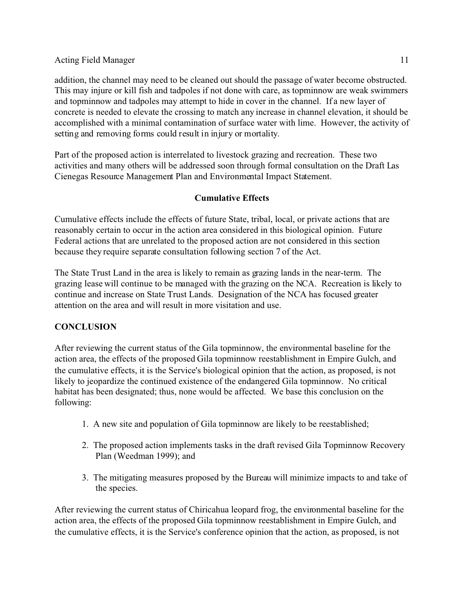addition, the channel may need to be cleaned out should the passage of water become obstructed. This may injure or kill fish and tadpoles if not done with care, as topminnow are weak swimmers and topminnow and tadpoles may attempt to hide in cover in the channel. If a new layer of concrete is needed to elevate the crossing to match any increase in channel elevation, it should be accomplished with a minimal contamination of surface water with lime. However, the activity of setting and removing forms could result in injury or mortality.

Part of the proposed action is interrelated to livestock grazing and recreation. These two activities and many others will be addressed soon through formal consultation on the Draft Las Cienegas Resource Management Plan and Environmental Impact Statement.

# **Cumulative Effects**

Cumulative effects include the effects of future State, tribal, local, or private actions that are reasonably certain to occur in the action area considered in this biological opinion. Future Federal actions that are unrelated to the proposed action are not considered in this section because they require separate consultation following section 7 of the Act.

The State Trust Land in the area is likely to remain as grazing lands in the near-term. The grazing lease will continue to be managed with the grazing on the NCA. Recreation is likely to continue and increase on State Trust Lands. Designation of the NCA has focused greater attention on the area and will result in more visitation and use.

# **CONCLUSION**

After reviewing the current status of the Gila topminnow, the environmental baseline for the action area, the effects of the proposed Gila topminnow reestablishment in Empire Gulch, and the cumulative effects, it is the Service's biological opinion that the action, as proposed, is not likely to jeopardize the continued existence of the endangered Gila topminnow. No critical habitat has been designated; thus, none would be affected. We base this conclusion on the following:

- 1. A new site and population of Gila topminnow are likely to be reestablished;
- 2. The proposed action implements tasks in the draft revised Gila Topminnow Recovery Plan (Weedman 1999); and
- 3. The mitigating measures proposed by the Bureau will minimize impacts to and take of the species.

After reviewing the current status of Chiricahua leopard frog, the environmental baseline for the action area, the effects of the proposed Gila topminnow reestablishment in Empire Gulch, and the cumulative effects, it is the Service's conference opinion that the action, as proposed, is not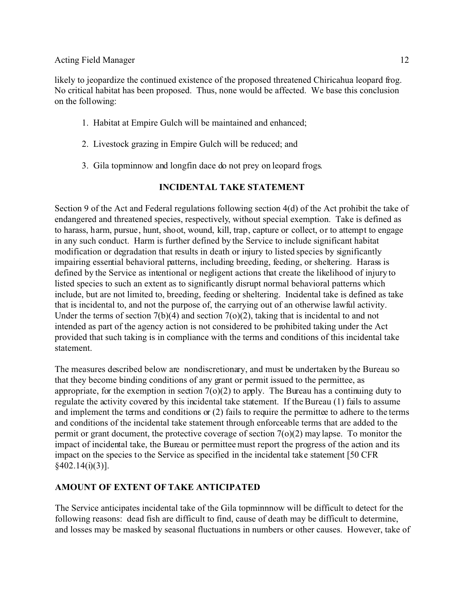likely to jeopardize the continued existence of the proposed threatened Chiricahua leopard frog. No critical habitat has been proposed. Thus, none would be affected. We base this conclusion on the following:

- 1. Habitat at Empire Gulch will be maintained and enhanced;
- 2. Livestock grazing in Empire Gulch will be reduced; and
- 3. Gila topminnow and longfin dace do not prey on leopard frogs.

# **INCIDENTAL TAKE STATEMENT**

Section 9 of the Act and Federal regulations following section 4(d) of the Act prohibit the take of endangered and threatened species, respectively, without special exemption. Take is defined as to harass, harm, pursue, hunt, shoot, wound, kill, trap, capture or collect, or to attempt to engage in any such conduct. Harm is further defined by the Service to include significant habitat modification or degradation that results in death or injury to listed species by significantly impairing essential behavioral patterns, including breeding, feeding, or sheltering. Harass is defined by the Service as intentional or negligent actions that create the likelihood of injury to listed species to such an extent as to significantly disrupt normal behavioral patterns which include, but are not limited to, breeding, feeding or sheltering. Incidental take is defined as take that is incidental to, and not the purpose of, the carrying out of an otherwise lawful activity. Under the terms of section  $7(b)(4)$  and section  $7(o)(2)$ , taking that is incidental to and not intended as part of the agency action is not considered to be prohibited taking under the Act provided that such taking is in compliance with the terms and conditions of this incidental take statement.

The measures described below are nondiscretionary, and must be undertaken by the Bureau so that they become binding conditions of any grant or permit issued to the permittee, as appropriate, for the exemption in section  $7(0)(2)$  to apply. The Bureau has a continuing duty to regulate the activity covered by this incidental take statement. If the Bureau (1) fails to assume and implement the terms and conditions or (2) fails to require the permittee to adhere to the terms and conditions of the incidental take statement through enforceable terms that are added to the permit or grant document, the protective coverage of section  $7(0)(2)$  may lapse. To monitor the impact of incidental take, the Bureau or permittee must report the progress of the action and its impact on the species to the Service as specified in the incidental take statement [50 CFR  $§402.14(i)(3)$ ].

# **AMOUNT OF EXTENT OF TAKE ANTICIPATED**

The Service anticipates incidental take of the Gila topminnnow will be difficult to detect for the following reasons: dead fish are difficult to find, cause of death may be difficult to determine, and losses may be masked by seasonal fluctuations in numbers or other causes. However, take of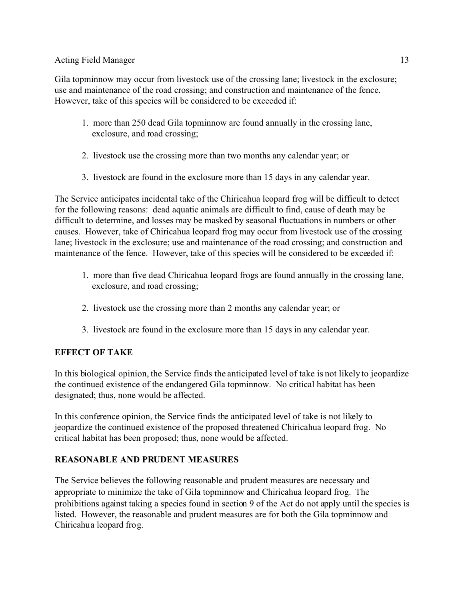Gila topminnow may occur from livestock use of the crossing lane; livestock in the exclosure; use and maintenance of the road crossing; and construction and maintenance of the fence. However, take of this species will be considered to be exceeded if:

- 1. more than 250 dead Gila topminnow are found annually in the crossing lane, exclosure, and road crossing;
- 2. livestock use the crossing more than two months any calendar year; or
- 3. livestock are found in the exclosure more than 15 days in any calendar year.

The Service anticipates incidental take of the Chiricahua leopard frog will be difficult to detect for the following reasons: dead aquatic animals are difficult to find, cause of death may be difficult to determine, and losses may be masked by seasonal fluctuations in numbers or other causes. However, take of Chiricahua leopard frog may occur from livestock use of the crossing lane; livestock in the exclosure; use and maintenance of the road crossing; and construction and maintenance of the fence. However, take of this species will be considered to be exceeded if:

- 1. more than five dead Chiricahua leopard frogs are found annually in the crossing lane, exclosure, and road crossing;
- 2. livestock use the crossing more than 2 months any calendar year; or
- 3. livestock are found in the exclosure more than 15 days in any calendar year.

# **EFFECT OF TAKE**

In this biological opinion, the Service finds the anticipated level of take is not likely to jeopardize the continued existence of the endangered Gila topminnow. No critical habitat has been designated; thus, none would be affected.

In this conference opinion, the Service finds the anticipated level of take is not likely to jeopardize the continued existence of the proposed threatened Chiricahua leopard frog. No critical habitat has been proposed; thus, none would be affected.

# **REASONABLE AND PRUDENT MEASURES**

The Service believes the following reasonable and prudent measures are necessary and appropriate to minimize the take of Gila topminnow and Chiricahua leopard frog. The prohibitions against taking a species found in section 9 of the Act do not apply until the species is listed. However, the reasonable and prudent measures are for both the Gila topminnow and Chiricahua leopard frog.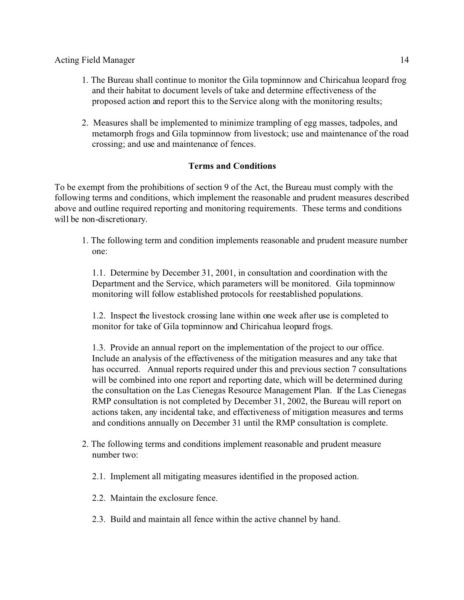- 1. The Bureau shall continue to monitor the Gila topminnow and Chiricahua leopard frog and their habitat to document levels of take and determine effectiveness of the proposed action and report this to the Service along with the monitoring results;
- 2. Measures shall be implemented to minimize trampling of egg masses, tadpoles, and metamorph frogs and Gila topminnow from livestock; use and maintenance of the road crossing; and use and maintenance of fences.

# **Terms and Conditions**

To be exempt from the prohibitions of section 9 of the Act, the Bureau must comply with the following terms and conditions, which implement the reasonable and prudent measures described above and outline required reporting and monitoring requirements. These terms and conditions will be non-discretionary.

1. The following term and condition implements reasonable and prudent measure number one:

1.1. Determine by December 31, 2001, in consultation and coordination with the Department and the Service, which parameters will be monitored. Gila topminnow monitoring will follow established protocols for reestablished populations.

1.2. Inspect the livestock crossing lane within one week after use is completed to monitor for take of Gila topminnow and Chiricahua leopard frogs.

1.3. Provide an annual report on the implementation of the project to our office. Include an analysis of the effectiveness of the mitigation measures and any take that has occurred. Annual reports required under this and previous section 7 consultations will be combined into one report and reporting date, which will be determined during the consultation on the Las Cienegas Resource Management Plan. If the Las Cienegas RMP consultation is not completed by December 31, 2002, the Bureau will report on actions taken, any incidental take, and effectiveness of mitigation measures and terms and conditions annually on December 31 until the RMP consultation is complete.

- 2. The following terms and conditions implement reasonable and prudent measure number two:
	- 2.1. Implement all mitigating measures identified in the proposed action.
	- 2.2. Maintain the exclosure fence.
	- 2.3. Build and maintain all fence within the active channel by hand.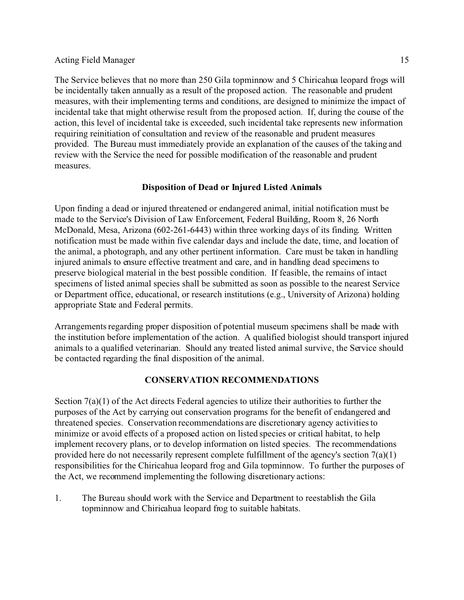The Service believes that no more than 250 Gila topminnow and 5 Chiricahua leopard frogs will be incidentally taken annually as a result of the proposed action. The reasonable and prudent measures, with their implementing terms and conditions, are designed to minimize the impact of incidental take that might otherwise result from the proposed action. If, during the course of the action, this level of incidental take is exceeded, such incidental take represents new information requiring reinitiation of consultation and review of the reasonable and prudent measures provided. The Bureau must immediately provide an explanation of the causes of the taking and review with the Service the need for possible modification of the reasonable and prudent measures.

## **Disposition of Dead or Injured Listed Animals**

Upon finding a dead or injured threatened or endangered animal, initial notification must be made to the Service's Division of Law Enforcement, Federal Building, Room 8, 26 North McDonald, Mesa, Arizona (602-261-6443) within three working days of its finding. Written notification must be made within five calendar days and include the date, time, and location of the animal, a photograph, and any other pertinent information. Care must be taken in handling injured animals to ensure effective treatment and care, and in handling dead specimens to preserve biological material in the best possible condition. If feasible, the remains of intact specimens of listed animal species shall be submitted as soon as possible to the nearest Service or Department office, educational, or research institutions (e.g., University of Arizona) holding appropriate State and Federal permits.

Arrangements regarding proper disposition of potential museum specimens shall be made with the institution before implementation of the action. A qualified biologist should transport injured animals to a qualified veterinarian. Should any treated listed animal survive, the Service should be contacted regarding the final disposition of the animal.

## **CONSERVATION RECOMMENDATIONS**

Section  $7(a)(1)$  of the Act directs Federal agencies to utilize their authorities to further the purposes of the Act by carrying out conservation programs for the benefit of endangered and threatened species. Conservation recommendations are discretionary agency activities to minimize or avoid effects of a proposed action on listed species or critical habitat, to help implement recovery plans, or to develop information on listed species. The recommendations provided here do not necessarily represent complete fulfillment of the agency's section 7(a)(1) responsibilities for the Chiricahua leopard frog and Gila topminnow. To further the purposes of the Act, we recommend implementing the following discretionary actions:

1. The Bureau should work with the Service and Department to reestablish the Gila topminnow and Chiricahua leopard frog to suitable habitats.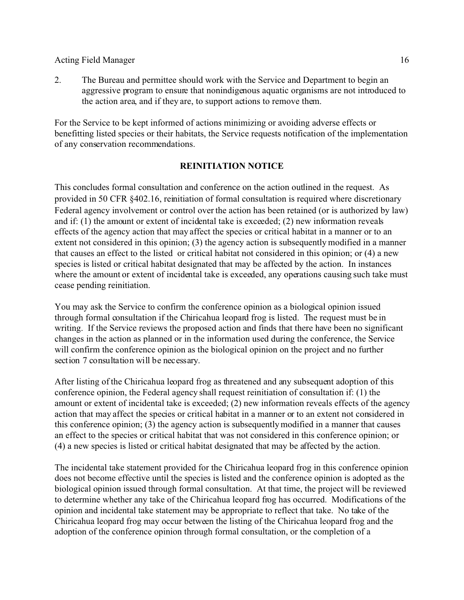2. The Bureau and permittee should work with the Service and Department to begin an aggressive program to ensure that nonindigenous aquatic organisms are not introduced to the action area, and if they are, to support actions to remove them.

For the Service to be kept informed of actions minimizing or avoiding adverse effects or benefitting listed species or their habitats, the Service requests notification of the implementation of any conservation recommendations.

### **REINITIATION NOTICE**

This concludes formal consultation and conference on the action outlined in the request. As provided in 50 CFR §402.16, reinitiation of formal consultation is required where discretionary Federal agency involvement or control over the action has been retained (or is authorized by law) and if: (1) the amount or extent of incidental take is exceeded; (2) new information reveals effects of the agency action that may affect the species or critical habitat in a manner or to an extent not considered in this opinion; (3) the agency action is subsequently modified in a manner that causes an effect to the listed or critical habitat not considered in this opinion; or (4) a new species is listed or critical habitat designated that may be affected by the action. In instances where the amount or extent of incidental take is exceeded, any operations causing such take must cease pending reinitiation.

You may ask the Service to confirm the conference opinion as a biological opinion issued through formal consultation if the Chiricahua leopard frog is listed. The request must be in writing. If the Service reviews the proposed action and finds that there have been no significant changes in the action as planned or in the information used during the conference, the Service will confirm the conference opinion as the biological opinion on the project and no further section 7 consultation will be necessary.

After listing of the Chiricahua leopard frog as threatened and any subsequent adoption of this conference opinion, the Federal agency shall request reinitiation of consultation if: (1) the amount or extent of incidental take is exceeded; (2) new information reveals effects of the agency action that may affect the species or critical habitat in a manner or to an extent not considered in this conference opinion; (3) the agency action is subsequently modified in a manner that causes an effect to the species or critical habitat that was not considered in this conference opinion; or (4) a new species is listed or critical habitat designated that may be affected by the action.

The incidental take statement provided for the Chiricahua leopard frog in this conference opinion does not become effective until the species is listed and the conference opinion is adopted as the biological opinion issued through formal consultation. At that time, the project will be reviewed to determine whether any take of the Chiricahua leopard frog has occurred. Modifications of the opinion and incidental take statement may be appropriate to reflect that take. No take of the Chiricahua leopard frog may occur between the listing of the Chiricahua leopard frog and the adoption of the conference opinion through formal consultation, or the completion of a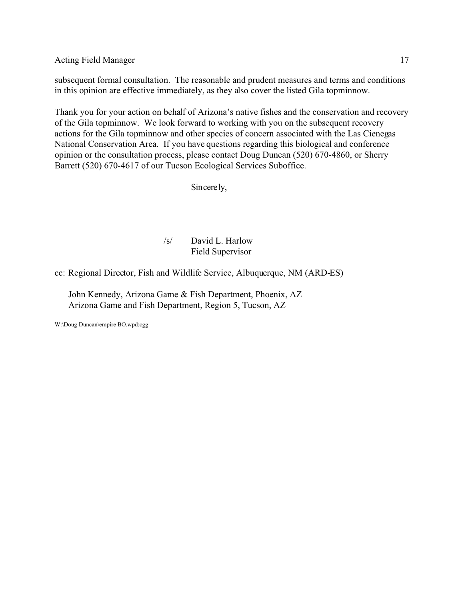subsequent formal consultation. The reasonable and prudent measures and terms and conditions in this opinion are effective immediately, as they also cover the listed Gila topminnow.

Thank you for your action on behalf of Arizona's native fishes and the conservation and recovery of the Gila topminnow. We look forward to working with you on the subsequent recovery actions for the Gila topminnow and other species of concern associated with the Las Cienegas National Conservation Area. If you have questions regarding this biological and conference opinion or the consultation process, please contact Doug Duncan (520) 670-4860, or Sherry Barrett (520) 670-4617 of our Tucson Ecological Services Suboffice.

Sincerely,

# /s/ David L. Harlow Field Supervisor

cc: Regional Director, Fish and Wildlife Service, Albuquerque, NM (ARD-ES)

John Kennedy, Arizona Game & Fish Department, Phoenix, AZ Arizona Game and Fish Department, Region 5, Tucson, AZ

W:\Doug Duncan\empire BO.wpd:cgg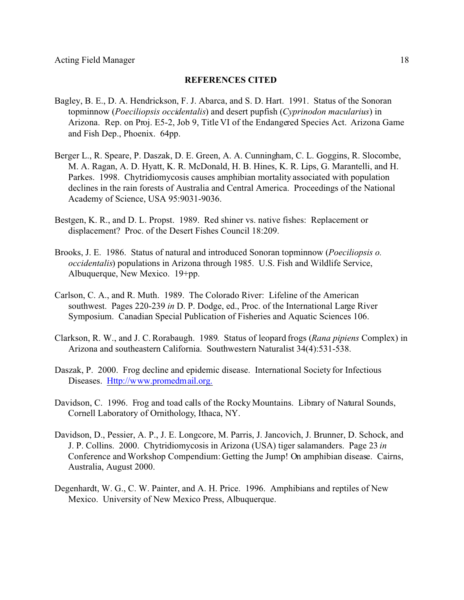#### **REFERENCES CITED**

- Bagley, B. E., D. A. Hendrickson, F. J. Abarca, and S. D. Hart. 1991. Status of the Sonoran topminnow (*Poeciliopsis occidentalis*) and desert pupfish (*Cyprinodon macularius*) in Arizona. Rep. on Proj. E5-2, Job 9, Title VI of the Endangered Species Act. Arizona Game and Fish Dep., Phoenix. 64pp.
- Berger L., R. Speare, P. Daszak, D. E. Green, A. A. Cunningham, C. L. Goggins, R. Slocombe, M. A. Ragan, A. D. Hyatt, K. R. McDonald, H. B. Hines, K. R. Lips, G. Marantelli, and H. Parkes. 1998. Chytridiomycosis causes amphibian mortality associated with population declines in the rain forests of Australia and Central America. Proceedings of the National Academy of Science, USA 95:9031-9036.
- Bestgen, K. R., and D. L. Propst. 1989. Red shiner vs. native fishes: Replacement or displacement? Proc. of the Desert Fishes Council 18:209.
- Brooks, J. E. 1986. Status of natural and introduced Sonoran topminnow (*Poeciliopsis o. occidentalis*) populations in Arizona through 1985. U.S. Fish and Wildlife Service, Albuquerque, New Mexico. 19+pp.
- Carlson, C. A., and R. Muth. 1989. The Colorado River: Lifeline of the American southwest. Pages 220-239 *in* D. P. Dodge, ed., Proc. of the International Large River Symposium. Canadian Special Publication of Fisheries and Aquatic Sciences 106.
- Clarkson, R. W., and J. C. Rorabaugh. 1989. Status of leopard frogs (*Rana pipiens* Complex) in Arizona and southeastern California. Southwestern Naturalist 34(4):531-538.
- Daszak, P. 2000. Frog decline and epidemic disease. International Society for Infectious Diseases. Http://www.promedmail.org.
- Davidson, C. 1996. Frog and toad calls of the Rocky Mountains. Library of Natural Sounds, Cornell Laboratory of Ornithology, Ithaca, NY.
- Davidson, D., Pessier, A. P., J. E. Longcore, M. Parris, J. Jancovich, J. Brunner, D. Schock, and J. P. Collins. 2000. Chytridiomycosis in Arizona (USA) tiger salamanders. Page 23 *in* Conference and Workshop Compendium: Getting the Jump! On amphibian disease. Cairns, Australia, August 2000.
- Degenhardt, W. G., C. W. Painter, and A. H. Price. 1996. Amphibians and reptiles of New Mexico. University of New Mexico Press, Albuquerque.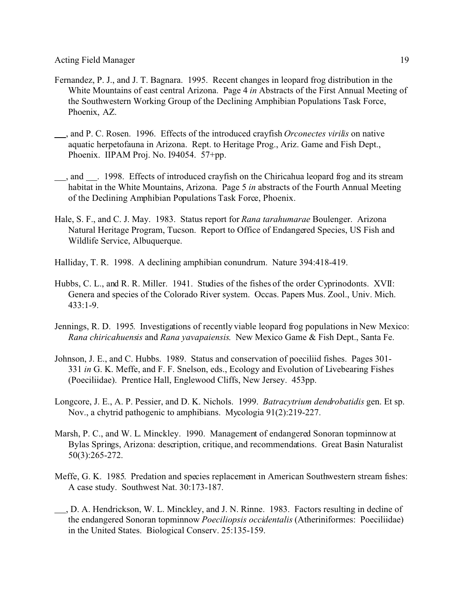- Fernandez, P. J., and J. T. Bagnara. 1995. Recent changes in leopard frog distribution in the White Mountains of east central Arizona. Page 4 *in* Abstracts of the First Annual Meeting of the Southwestern Working Group of the Declining Amphibian Populations Task Force, Phoenix, AZ.
- , and P. C. Rosen. 1996. Effects of the introduced crayfish *Orconectes virilis* on native aquatic herpetofauna in Arizona. Rept. to Heritage Prog., Ariz. Game and Fish Dept., Phoenix. IIPAM Proj. No. I94054. 57+pp.
- , and . 1998. Effects of introduced crayfish on the Chiricahua leopard frog and its stream habitat in the White Mountains, Arizona. Page 5 *in* abstracts of the Fourth Annual Meeting of the Declining Amphibian Populations Task Force, Phoenix.
- Hale, S. F., and C. J. May. 1983. Status report for *Rana tarahumarae* Boulenger. Arizona Natural Heritage Program, Tucson. Report to Office of Endangered Species, US Fish and Wildlife Service, Albuquerque.
- Halliday, T. R. 1998. A declining amphibian conundrum. Nature 394:418-419.
- Hubbs, C. L., and R. R. Miller. 1941. Studies of the fishes of the order Cyprinodonts. XVII: Genera and species of the Colorado River system. Occas. Papers Mus. Zool., Univ. Mich. 433:1-9.
- Jennings, R. D. 1995. Investigations of recently viable leopard frog populations in New Mexico: *Rana chiricahuensis* and *Rana yavapaiensis*. New Mexico Game & Fish Dept., Santa Fe.
- Johnson, J. E., and C. Hubbs. 1989. Status and conservation of poeciliid fishes. Pages 301- 331 *in* G. K. Meffe, and F. F. Snelson, eds., Ecology and Evolution of Livebearing Fishes (Poeciliidae). Prentice Hall, Englewood Cliffs, New Jersey. 453pp.
- Longcore, J. E., A. P. Pessier, and D. K. Nichols. 1999. *Batracytrium dendrobatidis* gen. Et sp. Nov., a chytrid pathogenic to amphibians. Mycologia 91(2):219-227.
- Marsh, P. C., and W. L. Minckley. 1990. Management of endangered Sonoran topminnow at Bylas Springs, Arizona: description, critique, and recommendations. Great Basin Naturalist 50(3):265-272.
- Meffe, G. K. 1985. Predation and species replacement in American Southwestern stream fishes: A case study. Southwest Nat. 30:173-187.
- , D. A. Hendrickson, W. L. Minckley, and J. N. Rinne. 1983. Factors resulting in decline of the endangered Sonoran topminnow *Poeciliopsis occidentalis* (Atheriniformes: Poeciliidae) in the United States. Biological Conserv. 25:135-159.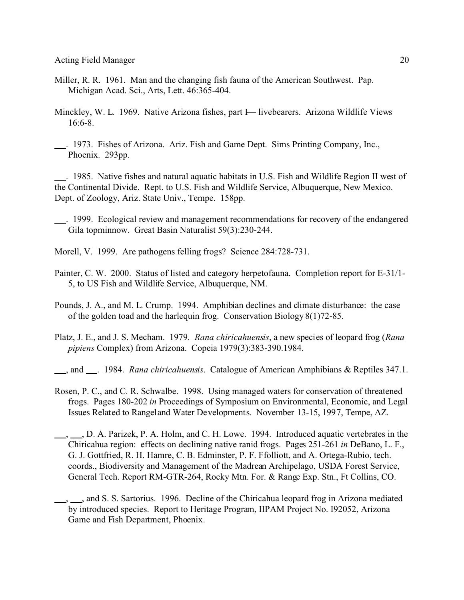- Miller, R. R. 1961. Man and the changing fish fauna of the American Southwest. Pap. Michigan Acad. Sci., Arts, Lett. 46:365-404.
- Minckley, W. L. 1969. Native Arizona fishes, part I— livebearers. Arizona Wildlife Views 16:6-8.
- . 1973. Fishes of Arizona. Ariz. Fish and Game Dept. Sims Printing Company, Inc., Phoenix. 293pp.

 . 1985. Native fishes and natural aquatic habitats in U.S. Fish and Wildlife Region II west of the Continental Divide. Rept. to U.S. Fish and Wildlife Service, Albuquerque, New Mexico. Dept. of Zoology, Ariz. State Univ., Tempe. 158pp.

- . 1999. Ecological review and management recommendations for recovery of the endangered Gila topminnow. Great Basin Naturalist 59(3):230-244.
- Morell, V. 1999. Are pathogens felling frogs? Science 284:728-731.
- Painter, C. W. 2000. Status of listed and category herpetofauna. Completion report for E-31/1- 5, to US Fish and Wildlife Service, Albuquerque, NM.
- Pounds, J. A., and M. L. Crump. 1994. Amphibian declines and climate disturbance: the case of the golden toad and the harlequin frog. Conservation Biology 8(1)72-85.
- Platz, J. E., and J. S. Mecham. 1979. *Rana chiricahuensis*, a new species of leopard frog (*Rana pipiens* Complex) from Arizona. Copeia 1979(3):383-390.1984.
- , and . 1984. *Rana chiricahuensis*. Catalogue of American Amphibians & Reptiles 347.1.
- Rosen, P. C., and C. R. Schwalbe. 1998. Using managed waters for conservation of threatened frogs. Pages 180-202 *in* Proceedings of Symposium on Environmental, Economic, and Legal Issues Related to Rangeland Water Developments. November 13-15, 1997, Tempe, AZ.
- $\ldots$ ,  $\ldots$ , D. A. Parizek, P. A. Holm, and C. H. Lowe. 1994. Introduced aquatic vertebrates in the Chiricahua region: effects on declining native ranid frogs. Pages 251-261 *in* DeBano, L. F., G. J. Gottfried, R. H. Hamre, C. B. Edminster, P. F. Ffolliott, and A. Ortega-Rubio, tech. coords., Biodiversity and Management of the Madrean Archipelago, USDA Forest Service, General Tech. Report RM-GTR-264, Rocky Mtn. For. & Range Exp. Stn., Ft Collins, CO.
- <sub>1, 1</sub>, and S. S. Sartorius. 1996. Decline of the Chiricahua leopard frog in Arizona mediated by introduced species. Report to Heritage Program, IIPAM Project No. I92052, Arizona Game and Fish Department, Phoenix.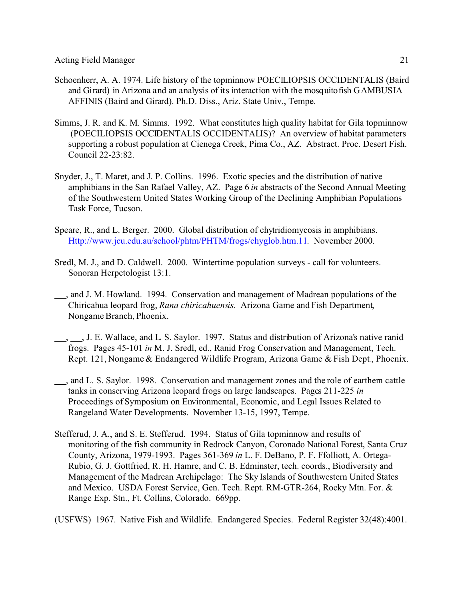- Schoenherr, A. A. 1974. Life history of the topminnow POECILIOPSIS OCCIDENTALIS (Baird and Girard) in Arizona and an analysis of its interaction with the mosquitofish GAMBUSIA AFFINIS (Baird and Girard). Ph.D. Diss., Ariz. State Univ., Tempe.
- Simms, J. R. and K. M. Simms. 1992. What constitutes high quality habitat for Gila topminnow (POECILIOPSIS OCCIDENTALIS OCCIDENTALIS)? An overview of habitat parameters supporting a robust population at Cienega Creek, Pima Co., AZ. Abstract. Proc. Desert Fish. Council 22-23:82.
- Snyder, J., T. Maret, and J. P. Collins. 1996. Exotic species and the distribution of native amphibians in the San Rafael Valley, AZ. Page 6 *in* abstracts of the Second Annual Meeting of the Southwestern United States Working Group of the Declining Amphibian Populations Task Force, Tucson.
- Speare, R., and L. Berger. 2000. Global distribution of chytridiomycosis in amphibians. Http://www.jcu.edu.au/school/phtm/PHTM/frogs/chyglob.htm.11. November 2000.
- Sredl, M. J., and D. Caldwell. 2000. Wintertime population surveys call for volunteers. Sonoran Herpetologist 13:1.
- $\_\_$ , and J. M. Howland. 1994. Conservation and management of Madrean populations of the Chiricahua leopard frog, *Rana chiricahuensis*. Arizona Game and Fish Department, Nongame Branch, Phoenix.
- $\ldots$ , J. E. Wallace, and L. S. Saylor. 1997. Status and distribution of Arizona's native ranid frogs. Pages 45-101 *in* M. J. Sredl, ed., Ranid Frog Conservation and Management, Tech. Rept. 121, Nongame & Endangered Wildlife Program, Arizona Game & Fish Dept., Phoenix.
- ..., and L. S. Saylor. 1998. Conservation and management zones and the role of earthern cattle tanks in conserving Arizona leopard frogs on large landscapes. Pages 211-225 *in* Proceedings of Symposium on Environmental, Economic, and Legal Issues Related to Rangeland Water Developments. November 13-15, 1997, Tempe.
- Stefferud, J. A., and S. E. Stefferud. 1994. Status of Gila topminnow and results of monitoring of the fish community in Redrock Canyon, Coronado National Forest, Santa Cruz County, Arizona, 1979-1993. Pages 361-369 *in* L. F. DeBano, P. F. Ffolliott, A. Ortega-Rubio, G. J. Gottfried, R. H. Hamre, and C. B. Edminster, tech. coords., Biodiversity and Management of the Madrean Archipelago: The Sky Islands of Southwestern United States and Mexico. USDA Forest Service, Gen. Tech. Rept. RM-GTR-264, Rocky Mtn. For. & Range Exp. Stn., Ft. Collins, Colorado. 669pp.

(USFWS) 1967. Native Fish and Wildlife. Endangered Species. Federal Register 32(48):4001.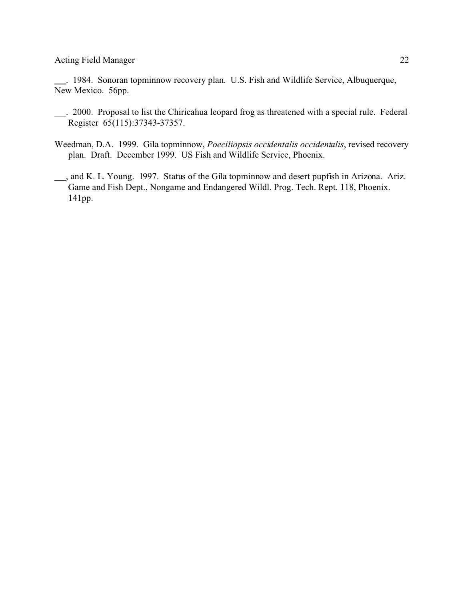. 1984. Sonoran topminnow recovery plan. U.S. Fish and Wildlife Service, Albuquerque, New Mexico. 56pp.

- . 2000. Proposal to list the Chiricahua leopard frog as threatened with a special rule. Federal Register 65(115):37343-37357.
- Weedman, D.A. 1999. Gila topminnow, *Poeciliopsis occidentalis occidentalis*, revised recovery plan. Draft. December 1999. US Fish and Wildlife Service, Phoenix.
- , and K. L. Young. 1997. Status of the Gila topminnow and desert pupfish in Arizona. Ariz. Game and Fish Dept., Nongame and Endangered Wildl. Prog. Tech. Rept. 118, Phoenix. 141pp.